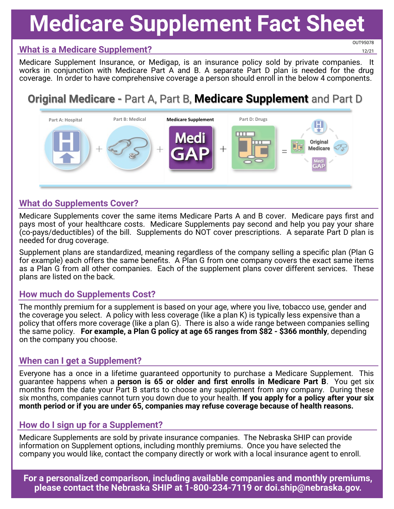# **Medicare Supplement Fact Sheet**

#### **What is a Medicare Supplement?**

OUT95078 12/21

Medicare Supplement Insurance, or Medigap, is an insurance policy sold by private companies. It works in conjunction with Medicare Part A and B. A separate Part D plan is needed for the drug coverage. In order to have comprehensive coverage a person should enroll in the below 4 components.

### **Original Medicare -** Part A, Part B, **Medicare Supplement** and Part D



#### **What do Supplements Cover?**

Medicare Supplements cover the same items Medicare Parts A and B cover. Medicare pays first and pays most of your healthcare costs. Medicare Supplements pay second and help you pay your share (co-pays/deductibles) of the bill. Supplements do NOT cover prescriptions. A separate Part D plan is needed for drug coverage.

Supplement plans are standardized, meaning regardless of the company selling a specific plan (Plan G for example) each offers the same benefits. A Plan G from one company covers the exact same items as a Plan G from all other companies. Each of the supplement plans cover different services. These plans are listed on the back.

#### **How much do Supplements Cost?**

The monthly premium for a supplement is based on your age, where you live, tobacco use, gender and the coverage you select. A policy with less coverage (like a plan K) is typically less expensive than a policy that offers more coverage (like a plan G). There is also a wide range between companies selling the same policy. **For example, a Plan G policy at age 65 ranges from \$82 - \$366 monthly**, depending on the company you choose.

#### **When can I get a Supplement?**

Everyone has a once in a lifetime guaranteed opportunity to purchase a Medicare Supplement. This guarantee happens when a **person is 65 or older and first enrolls in Medicare Part B**. You get six months from the date your Part B starts to choose any supplement from any company. During these six months, companies cannot turn you down due to your health. **If you apply for a policy after your six month period or if you are under 65, companies may refuse coverage because of health reasons.** 

#### **How do I sign up for a Supplement?**

Medicare Supplements are sold by private insurance companies. The Nebraska SHIP can provide information on Supplement options, including monthly premiums. Once you have selected the company you would like, contact the company directly or work with a local insurance agent to enroll.

**For a personalized comparison, including available companies and monthly premiums, please contact the Nebraska SHIP at 1-800-234-7119 or doi.ship@nebraska.gov.**